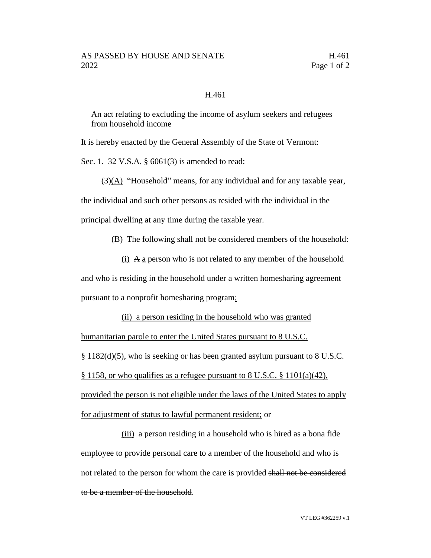## H.461

An act relating to excluding the income of asylum seekers and refugees from household income

It is hereby enacted by the General Assembly of the State of Vermont:

Sec. 1. 32 V.S.A. § 6061(3) is amended to read:

 $(3)(A)$  "Household" means, for any individual and for any taxable year,

the individual and such other persons as resided with the individual in the

principal dwelling at any time during the taxable year.

(B) The following shall not be considered members of the household:

 $(i)$  A a person who is not related to any member of the household and who is residing in the household under a written homesharing agreement pursuant to a nonprofit homesharing program;

(ii) a person residing in the household who was granted humanitarian parole to enter the United States pursuant to 8 U.S.C. § 1182(d)(5), who is seeking or has been granted asylum pursuant to 8 U.S.C. § 1158, or who qualifies as a refugee pursuant to 8 U.S.C. § 1101(a)(42), provided the person is not eligible under the laws of the United States to apply for adjustment of status to lawful permanent resident; or

(iii) a person residing in a household who is hired as a bona fide employee to provide personal care to a member of the household and who is not related to the person for whom the care is provided shall not be considered to be a member of the household.